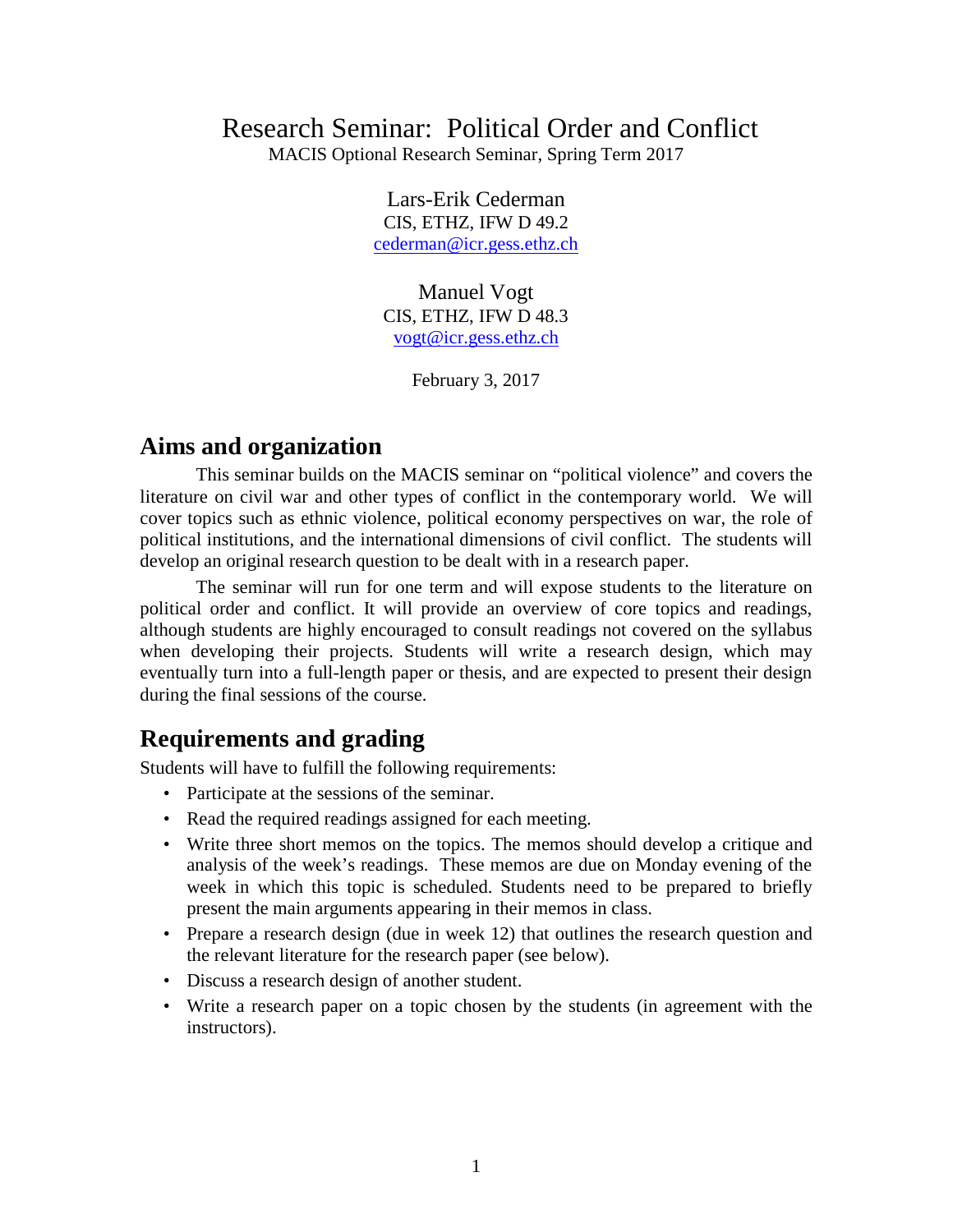# Research Seminar: Political Order and Conflict

MACIS Optional Research Seminar, Spring Term 2017

Lars-Erik Cederman CIS, ETHZ, IFW D 49.2 [cederman@icr.gess.ethz.ch](mailto:cederman@icr.gess.ethz.ch)

Manuel Vogt CIS, ETHZ, IFW D 48.3 [vogt@icr.gess.ethz.ch](mailto:vogt@icr.gess.ethz.ch)

February 3, 2017

#### **Aims and organization**

This seminar builds on the MACIS seminar on "political violence" and covers the literature on civil war and other types of conflict in the contemporary world. We will cover topics such as ethnic violence, political economy perspectives on war, the role of political institutions, and the international dimensions of civil conflict. The students will develop an original research question to be dealt with in a research paper.

The seminar will run for one term and will expose students to the literature on political order and conflict. It will provide an overview of core topics and readings, although students are highly encouraged to consult readings not covered on the syllabus when developing their projects. Students will write a research design, which may eventually turn into a full-length paper or thesis, and are expected to present their design during the final sessions of the course.

### **Requirements and grading**

Students will have to fulfill the following requirements:

- Participate at the sessions of the seminar.
- Read the required readings assigned for each meeting.
- Write three short memos on the topics. The memos should develop a critique and analysis of the week's readings. These memos are due on Monday evening of the week in which this topic is scheduled. Students need to be prepared to briefly present the main arguments appearing in their memos in class.
- Prepare a research design (due in week 12) that outlines the research question and the relevant literature for the research paper (see below).
- Discuss a research design of another student.
- Write a research paper on a topic chosen by the students (in agreement with the instructors).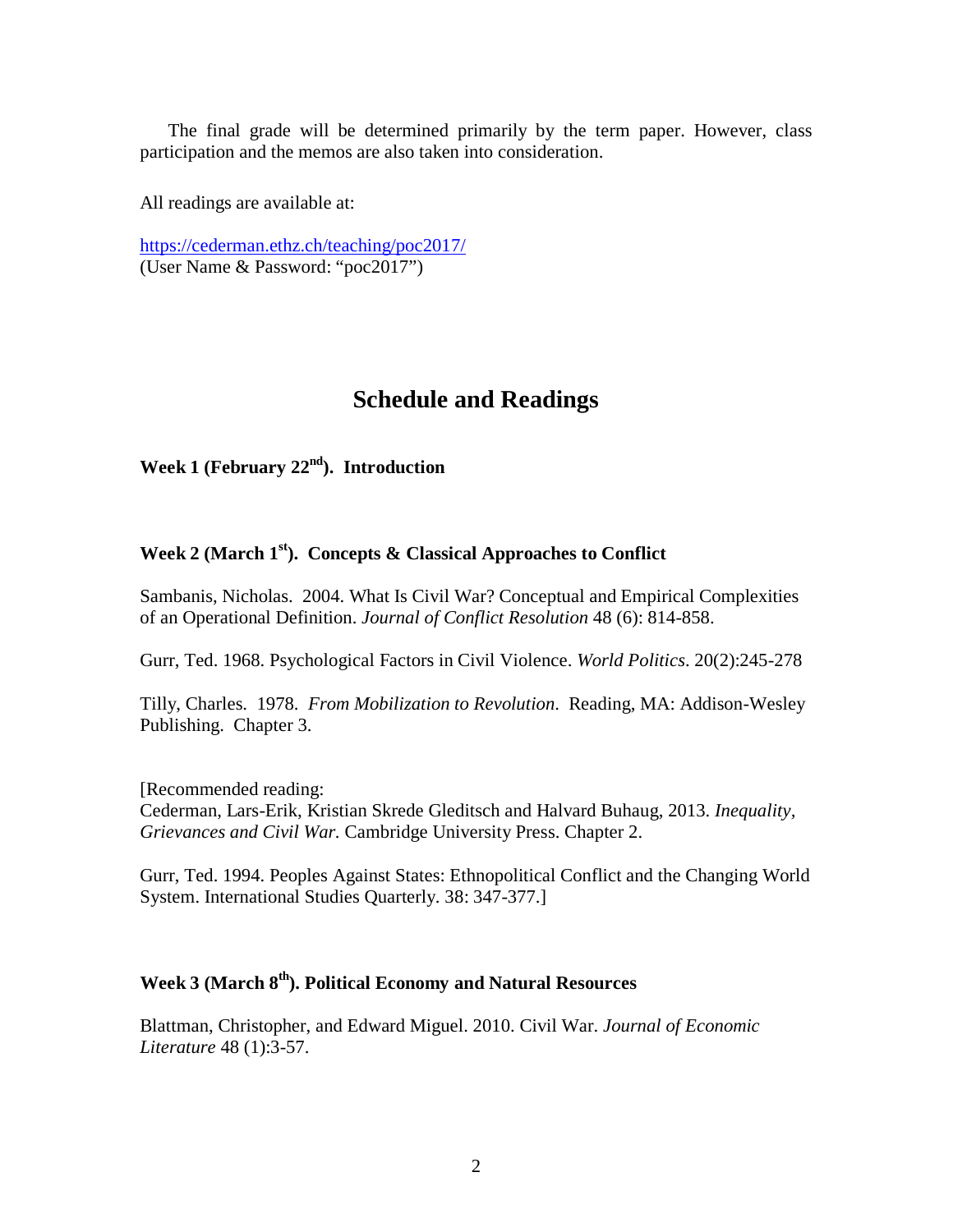The final grade will be determined primarily by the term paper. However, class participation and the memos are also taken into consideration.

All readings are available at:

<https://cederman.ethz.ch/teaching/poc2017/> (User Name & Password: "poc2017")

## **Schedule and Readings**

Week 1 (February 22<sup>nd</sup>). Introduction

#### **Week 2 (March 1st). Concepts & Classical Approaches to Conflict**

Sambanis, Nicholas. 2004. What Is Civil War? Conceptual and Empirical Complexities of an Operational Definition. *Journal of Conflict Resolution* 48 (6): 814-858.

Gurr, Ted. 1968. Psychological Factors in Civil Violence. *World Politics*. 20(2):245-278

Tilly, Charles. 1978. *From Mobilization to Revolution*. Reading, MA: Addison-Wesley Publishing. Chapter 3.

[Recommended reading: Cederman, Lars-Erik, Kristian Skrede Gleditsch and Halvard Buhaug, 2013. *Inequality, Grievances and Civil War.* Cambridge University Press. Chapter 2.

Gurr, Ted. 1994. Peoples Against States: Ethnopolitical Conflict and the Changing World System. International Studies Quarterly. 38: 347-377.]

### **Week 3 (March 8th). Political Economy and Natural Resources**

Blattman, Christopher, and Edward Miguel. 2010. Civil War. *Journal of Economic Literature* 48 (1):3-57.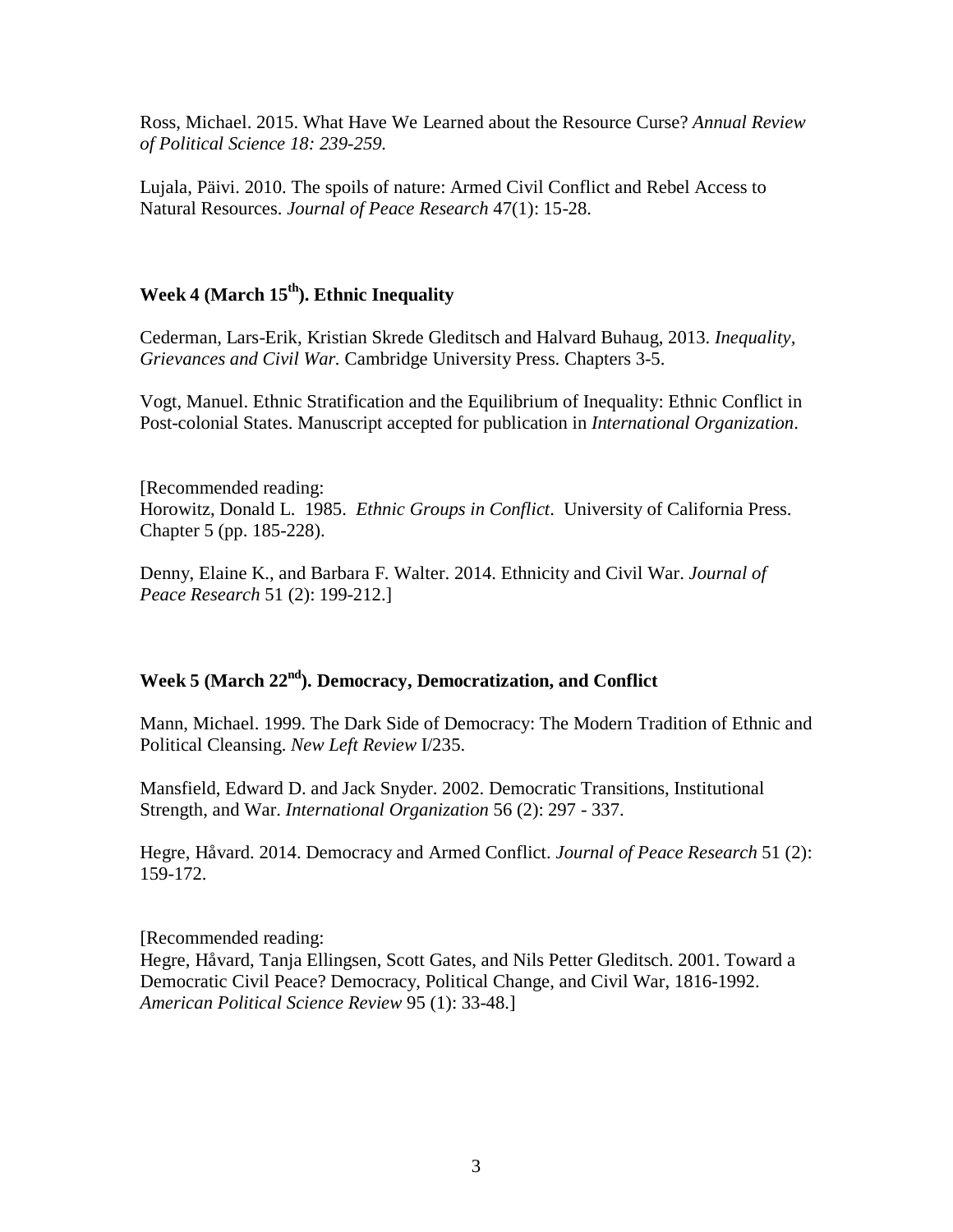Ross, Michael. 2015. What Have We Learned about the Resource Curse? *Annual Review of Political Science 18: 239-259.*

Lujala, Päivi. 2010. The spoils of nature: Armed Civil Conflict and Rebel Access to Natural Resources. *Journal of Peace Research* 47(1): 15-28.

## **Week 4 (March 15th). Ethnic Inequality**

Cederman, Lars-Erik, Kristian Skrede Gleditsch and Halvard Buhaug, 2013. *Inequality, Grievances and Civil War.* Cambridge University Press. Chapters 3-5.

Vogt, Manuel. Ethnic Stratification and the Equilibrium of Inequality: Ethnic Conflict in Post-colonial States. Manuscript accepted for publication in *International Organization*.

[Recommended reading: Horowitz, Donald L. 1985. *Ethnic Groups in Conflict*. University of California Press. Chapter 5 (pp. 185-228).

Denny, Elaine K., and Barbara F. Walter. 2014. Ethnicity and Civil War. *Journal of Peace Research* 51 (2): 199-212.]

#### **Week 5 (March 22nd). Democracy, Democratization, and Conflict**

Mann, Michael. 1999. The Dark Side of Democracy: The Modern Tradition of Ethnic and Political Cleansing. *New Left Review* I/235.

Mansfield, Edward D. and Jack Snyder. 2002. Democratic Transitions, Institutional Strength, and War. *International Organization* 56 (2): 297 - 337.

Hegre, Håvard. 2014. Democracy and Armed Conflict. *Journal of Peace Research* 51 (2): 159-172.

[Recommended reading: Hegre, Håvard, Tanja Ellingsen, Scott Gates, and Nils Petter Gleditsch. 2001. Toward a Democratic Civil Peace? Democracy, Political Change, and Civil War, 1816-1992. *American Political Science Review* 95 (1): 33-48.]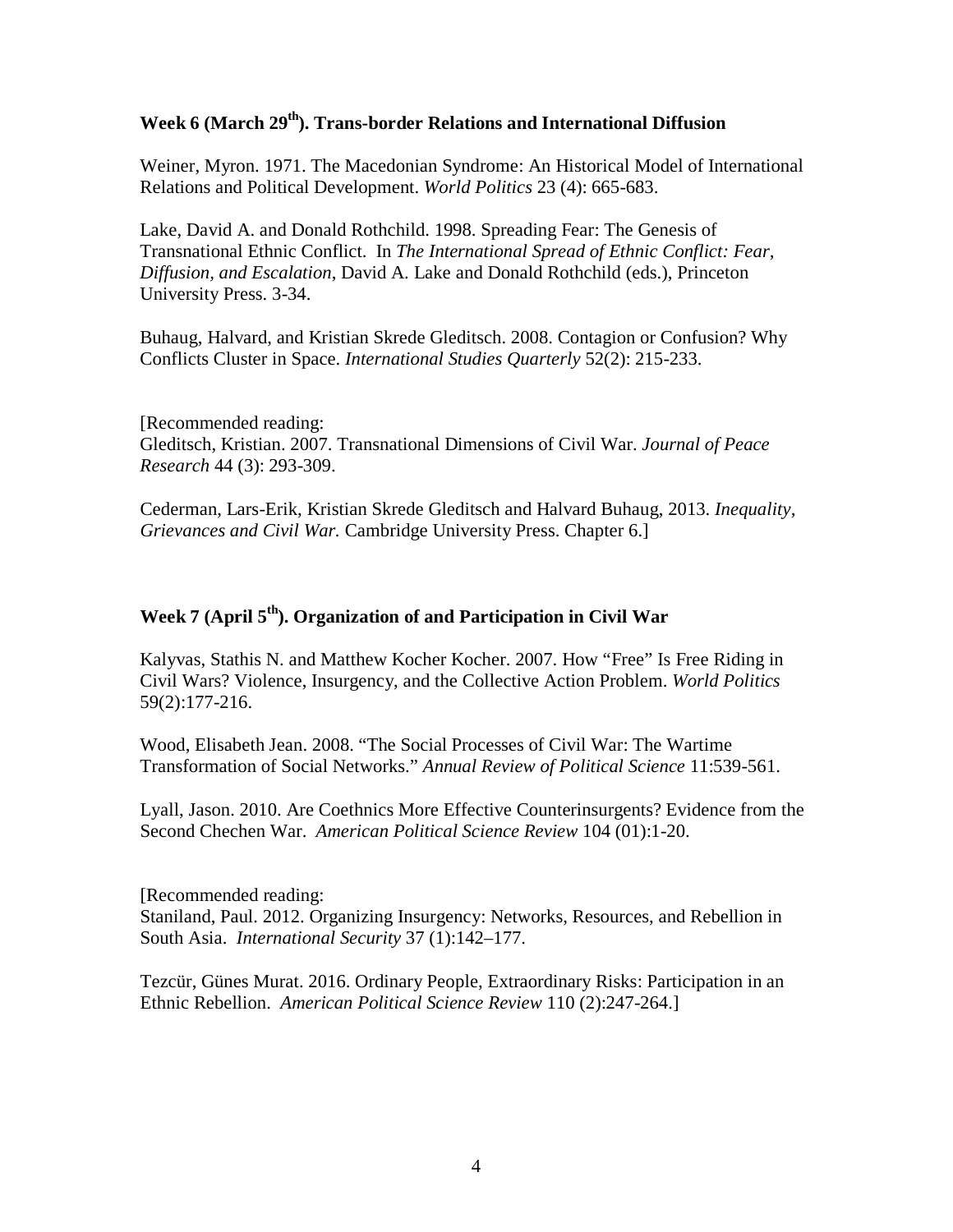#### Week 6 (March 29<sup>th</sup>). Trans-border Relations and International Diffusion

Weiner, Myron. 1971. The Macedonian Syndrome: An Historical Model of International Relations and Political Development. *World Politics* 23 (4): 665-683.

Lake, David A. and Donald Rothchild. 1998. Spreading Fear: The Genesis of Transnational Ethnic Conflict. In *The International Spread of Ethnic Conflict: Fear, Diffusion, and Escalation*, David A. Lake and Donald Rothchild (eds.), Princeton University Press. 3-34.

Buhaug, Halvard, and Kristian Skrede Gleditsch. 2008. Contagion or Confusion? Why Conflicts Cluster in Space. *International Studies Quarterly* 52(2): 215-233.

[Recommended reading: Gleditsch, Kristian. 2007. Transnational Dimensions of Civil War. *Journal of Peace Research* 44 (3): 293-309.

Cederman, Lars-Erik, Kristian Skrede Gleditsch and Halvard Buhaug, 2013. *Inequality, Grievances and Civil War.* Cambridge University Press. Chapter 6.]

#### **Week 7 (April 5th). Organization of and Participation in Civil War**

Kalyvas, Stathis N. and Matthew Kocher Kocher. 2007. How "Free" Is Free Riding in Civil Wars? Violence, Insurgency, and the Collective Action Problem. *World Politics* 59(2):177-216.

Wood, Elisabeth Jean. 2008. "The Social Processes of Civil War: The Wartime Transformation of Social Networks." *Annual Review of Political Science* 11:539-561.

Lyall, Jason. 2010. Are Coethnics More Effective Counterinsurgents? Evidence from the Second Chechen War. *American Political Science Review* 104 (01):1-20.

[Recommended reading: Staniland, Paul. 2012. Organizing Insurgency: Networks, Resources, and Rebellion in South Asia. *International Security* 37 (1):142–177.

Tezcür, Günes Murat. 2016. Ordinary People, Extraordinary Risks: Participation in an Ethnic Rebellion. *American Political Science Review* 110 (2):247-264.]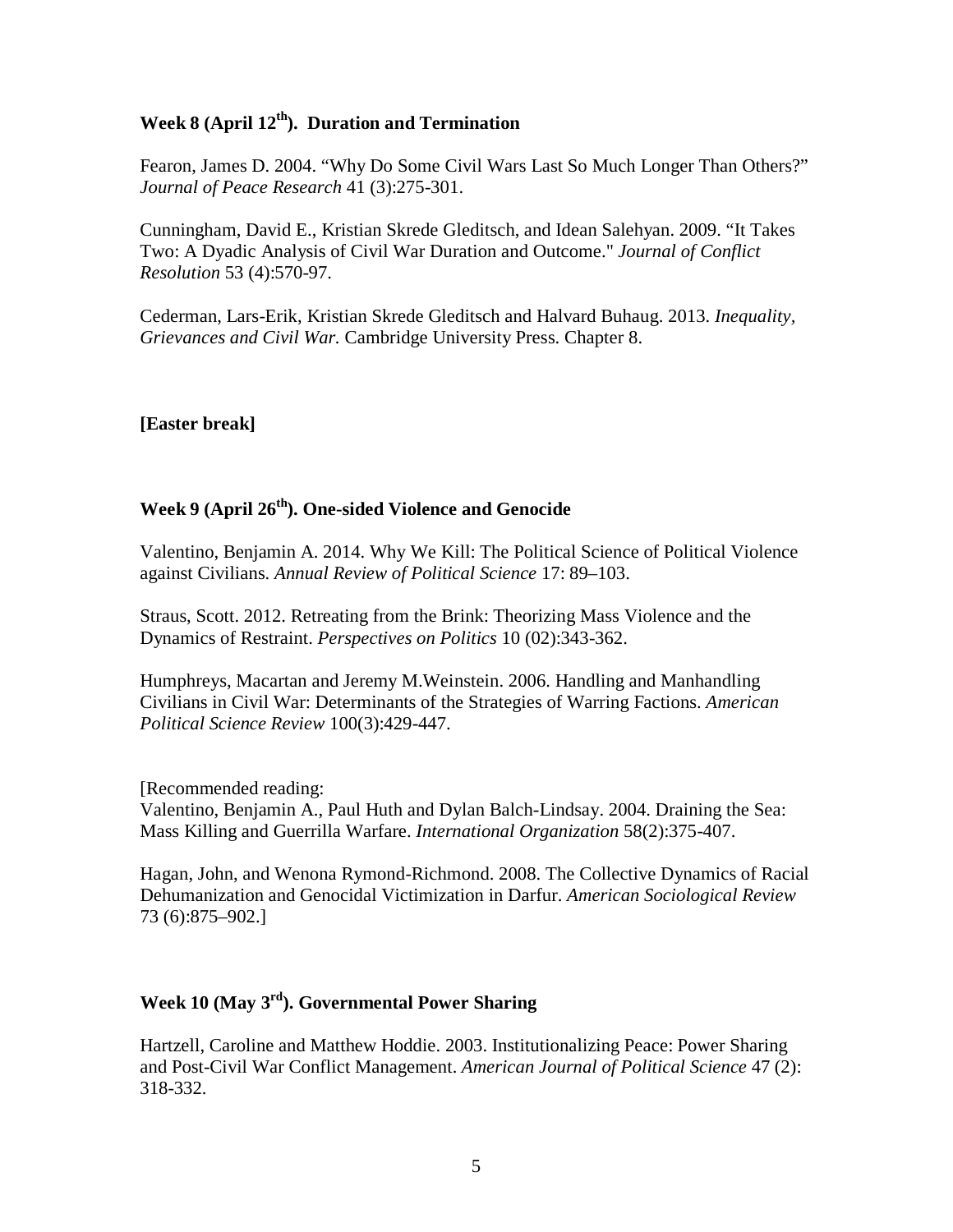#### Week 8 (April 12<sup>th</sup>). Duration and Termination

Fearon, James D. 2004. "Why Do Some Civil Wars Last So Much Longer Than Others?" *Journal of Peace Research* 41 (3):275-301.

Cunningham, David E., Kristian Skrede Gleditsch, and Idean Salehyan. 2009. "It Takes Two: A Dyadic Analysis of Civil War Duration and Outcome." *Journal of Conflict Resolution* 53 (4):570-97.

Cederman, Lars-Erik, Kristian Skrede Gleditsch and Halvard Buhaug. 2013. *Inequality, Grievances and Civil War.* Cambridge University Press. Chapter 8.

#### **[Easter break]**

## **Week 9 (April 26th). One-sided Violence and Genocide**

Valentino, Benjamin A. 2014. Why We Kill: The Political Science of Political Violence against Civilians. *Annual Review of Political Science* 17: 89–103.

Straus, Scott. 2012. Retreating from the Brink: Theorizing Mass Violence and the Dynamics of Restraint. *Perspectives on Politics* 10 (02):343-362.

Humphreys, Macartan and Jeremy M.Weinstein. 2006. Handling and Manhandling Civilians in Civil War: Determinants of the Strategies of Warring Factions. *American Political Science Review* 100(3):429-447.

[Recommended reading:

Valentino, Benjamin A., Paul Huth and Dylan Balch-Lindsay. 2004. Draining the Sea: Mass Killing and Guerrilla Warfare. *International Organization* 58(2):375-407.

Hagan, John, and Wenona Rymond-Richmond. 2008. The Collective Dynamics of Racial Dehumanization and Genocidal Victimization in Darfur. *American Sociological Review* 73 (6):875–902.]

#### **Week 10 (May 3rd). Governmental Power Sharing**

Hartzell, Caroline and Matthew Hoddie. 2003. Institutionalizing Peace: Power Sharing and Post-Civil War Conflict Management. *American Journal of Political Science* 47 (2): 318-332.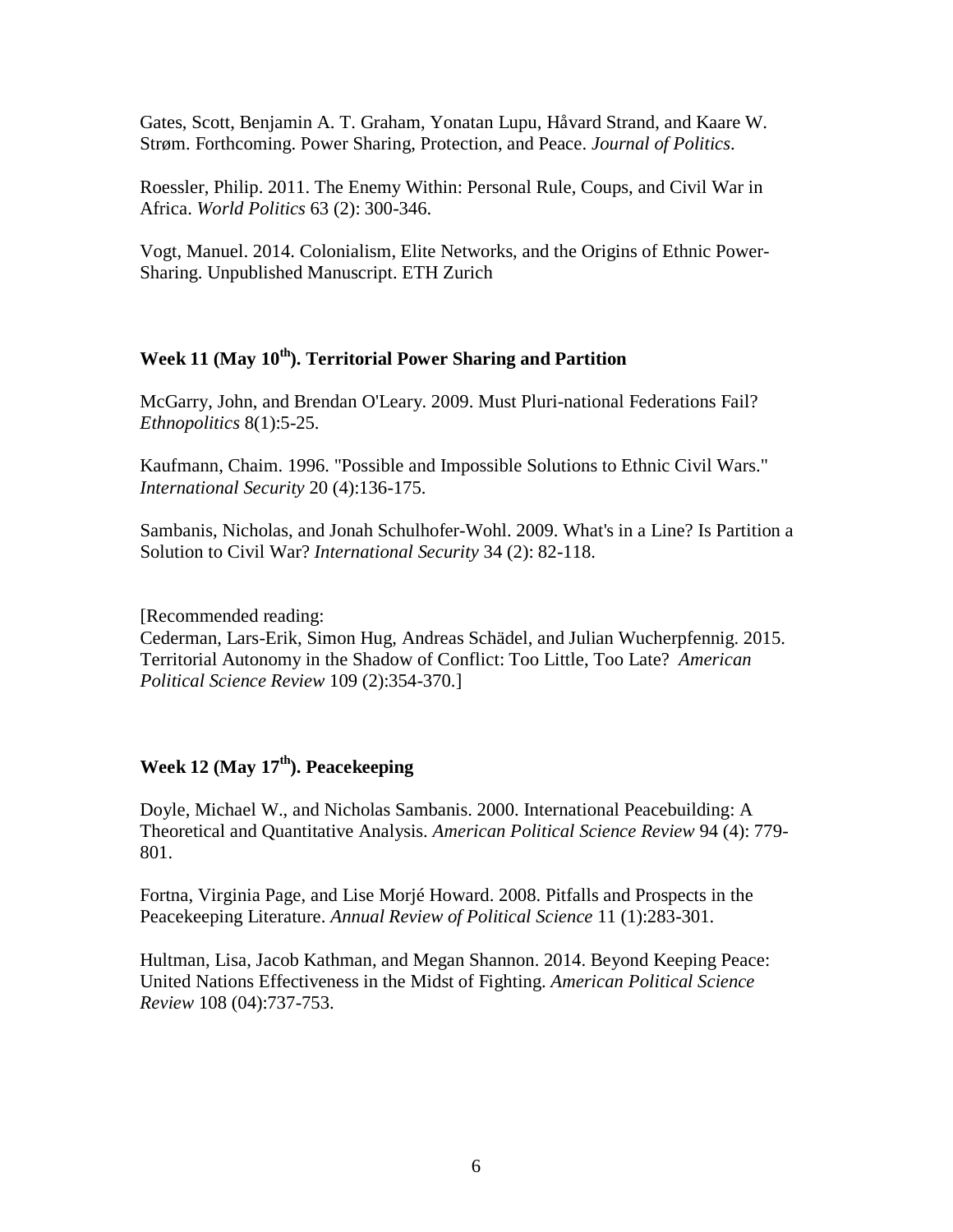Gates, Scott, Benjamin A. T. Graham, Yonatan Lupu, Håvard Strand, and Kaare W. Strøm. Forthcoming. Power Sharing, Protection, and Peace. *Journal of Politics*.

Roessler, Philip. 2011. The Enemy Within: Personal Rule, Coups, and Civil War in Africa. *World Politics* 63 (2): 300-346.

Vogt, Manuel. 2014. Colonialism, Elite Networks, and the Origins of Ethnic Power-Sharing. Unpublished Manuscript. ETH Zurich

#### **Week 11 (May 10th). Territorial Power Sharing and Partition**

McGarry, John, and Brendan O'Leary. 2009. Must Pluri-national Federations Fail? *Ethnopolitics* 8(1):5-25.

Kaufmann, Chaim. 1996. "Possible and Impossible Solutions to Ethnic Civil Wars." *International Security* 20 (4):136-175.

Sambanis, Nicholas, and Jonah Schulhofer-Wohl. 2009. What's in a Line? Is Partition a Solution to Civil War? *International Security* 34 (2): 82-118.

[Recommended reading:

Cederman, Lars-Erik, Simon Hug, Andreas Schädel, and Julian Wucherpfennig. 2015. Territorial Autonomy in the Shadow of Conflict: Too Little, Too Late? *American Political Science Review* 109 (2):354-370.]

### Week 12 (May 17<sup>th</sup>). Peacekeeping

Doyle, Michael W., and Nicholas Sambanis. 2000. International Peacebuilding: A Theoretical and Quantitative Analysis. *American Political Science Review* 94 (4): 779- 801.

Fortna, Virginia Page, and Lise Morjé Howard. 2008. Pitfalls and Prospects in the Peacekeeping Literature. *Annual Review of Political Science* 11 (1):283-301.

Hultman, Lisa, Jacob Kathman, and Megan Shannon. 2014. Beyond Keeping Peace: United Nations Effectiveness in the Midst of Fighting. *American Political Science Review* 108 (04):737-753.